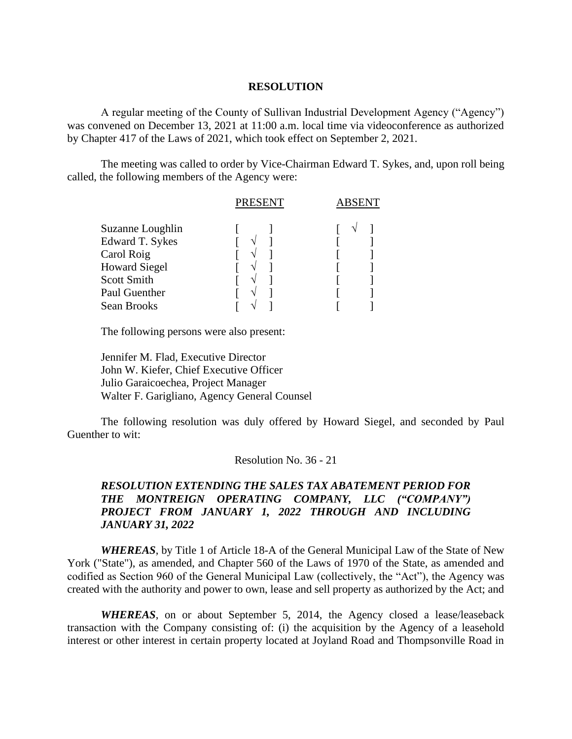## **RESOLUTION**

A regular meeting of the County of Sullivan Industrial Development Agency ("Agency") was convened on December 13, 2021 at 11:00 a.m. local time via videoconference as authorized by Chapter 417 of the Laws of 2021, which took effect on September 2, 2021.

The meeting was called to order by Vice-Chairman Edward T. Sykes, and, upon roll being called, the following members of the Agency were:

|                        | <b>PRESENT</b> | ABSENT |  |
|------------------------|----------------|--------|--|
| Suzanne Loughlin       |                |        |  |
| <b>Edward T. Sykes</b> |                |        |  |
| Carol Roig             |                |        |  |
| <b>Howard Siegel</b>   |                |        |  |
| <b>Scott Smith</b>     |                |        |  |
| Paul Guenther          |                |        |  |
| Sean Brooks            |                |        |  |
|                        |                |        |  |

The following persons were also present:

Jennifer M. Flad, Executive Director John W. Kiefer, Chief Executive Officer Julio Garaicoechea, Project Manager Walter F. Garigliano, Agency General Counsel

The following resolution was duly offered by Howard Siegel, and seconded by Paul Guenther to wit:

## Resolution No. 36 - 21

## *RESOLUTION EXTENDING THE SALES TAX ABATEMENT PERIOD FOR THE MONTREIGN OPERATING COMPANY, LLC ("COMPANY") PROJECT FROM JANUARY 1, 2022 THROUGH AND INCLUDING JANUARY 31, 2022*

*WHEREAS*, by Title 1 of Article 18-A of the General Municipal Law of the State of New York ("State"), as amended, and Chapter 560 of the Laws of 1970 of the State, as amended and codified as Section 960 of the General Municipal Law (collectively, the "Act"), the Agency was created with the authority and power to own, lease and sell property as authorized by the Act; and

*WHEREAS*, on or about September 5, 2014, the Agency closed a lease/leaseback transaction with the Company consisting of: (i) the acquisition by the Agency of a leasehold interest or other interest in certain property located at Joyland Road and Thompsonville Road in